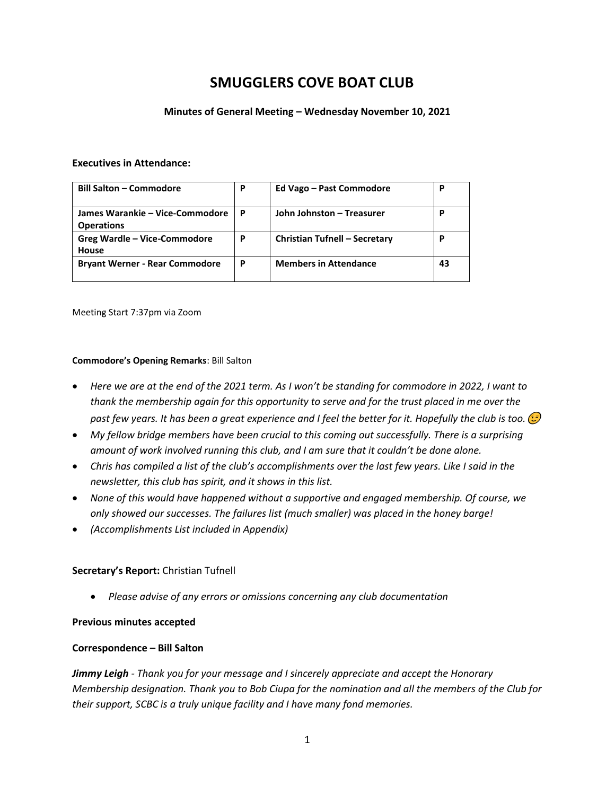# **SMUGGLERS COVE BOAT CLUB**

#### **Minutes of General Meeting – Wednesday November 10, 2021**

#### **Executives in Attendance:**

| <b>Bill Salton - Commodore</b>                       | P | Ed Vago - Past Commodore             | P  |
|------------------------------------------------------|---|--------------------------------------|----|
| James Warankie – Vice-Commodore<br><b>Operations</b> | P | John Johnston - Treasurer            | р  |
| Greg Wardle - Vice-Commodore<br>House                | P | <b>Christian Tufnell - Secretary</b> | D  |
| <b>Bryant Werner - Rear Commodore</b>                | P | <b>Members in Attendance</b>         | 43 |

Meeting Start 7:37pm via Zoom

#### **Commodore's Opening Remarks**: Bill Salton

- *Here we are at the end of the 2021 term. As I won't be standing for commodore in 2022, I want to thank the membership again for this opportunity to serve and for the trust placed in me over the past few years. It has been a great experience and I feel the better for it. Hopefully the club is too.*
- *My fellow bridge members have been crucial to this coming out successfully. There is a surprising amount of work involved running this club, and I am sure that it couldn't be done alone.*
- *Chris has compiled a list of the club's accomplishments over the last few years. Like I said in the newsletter, this club has spirit, and it shows in this list.*
- *None of this would have happened without a supportive and engaged membership. Of course, we only showed our successes. The failures list (much smaller) was placed in the honey barge!*
- *(Accomplishments List included in Appendix)*

## **Secretary's Report:** Christian Tufnell

• *Please advise of any errors or omissions concerning any club documentation*

#### **Previous minutes accepted**

#### **Correspondence – Bill Salton**

*Jimmy Leigh - Thank you for your message and I sincerely appreciate and accept the Honorary Membership designation. Thank you to Bob Ciupa for the nomination and all the members of the Club for their support, SCBC is a truly unique facility and I have many fond memories.*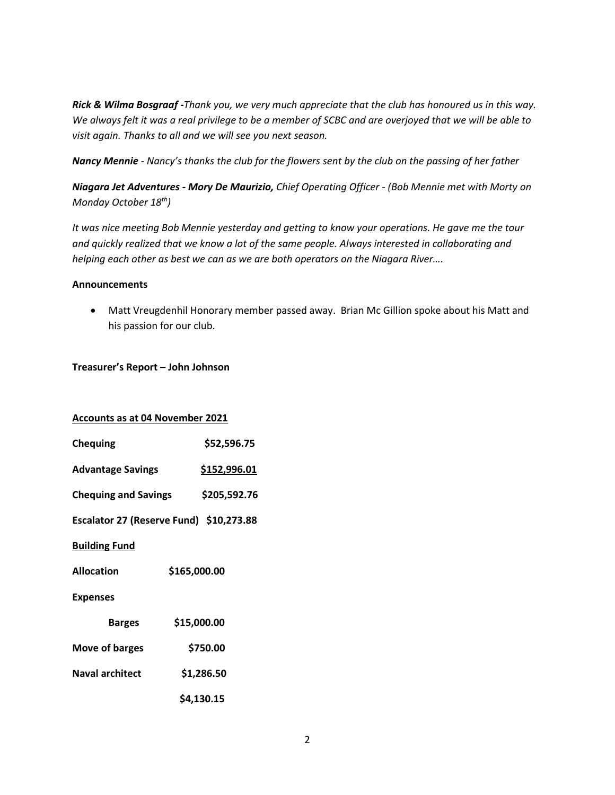*Rick & Wilma Bosgraaf -Thank you, we very much appreciate that the club has honoured us in this way. We always felt it was a real privilege to be a member of SCBC and are overjoyed that we will be able to visit again. Thanks to all and we will see you next season.*

*Nancy Mennie - Nancy's thanks the club for the flowers sent by the club on the passing of her father*

*Niagara Jet Adventures - Mory De Maurizio, Chief Operating Officer - (Bob Mennie met with Morty on Monday October 18th)*

*It was nice meeting Bob Mennie yesterday and getting to know your operations. He gave me the tour and quickly realized that we know a lot of the same people. Always interested in collaborating and helping each other as best we can as we are both operators on the Niagara River….*

## **Announcements**

• Matt Vreugdenhil Honorary member passed away. Brian Mc Gillion spoke about his Matt and his passion for our club.

## **Treasurer's Report – John Johnson**

|  |  | <b>Accounts as at 04 November 2021</b> |  |
|--|--|----------------------------------------|--|
|  |  |                                        |  |

| <b>Chequing</b>                         | \$52,596.75  |  |  |  |
|-----------------------------------------|--------------|--|--|--|
| <b>Advantage Savings</b>                | \$152,996.01 |  |  |  |
| <b>Chequing and Savings</b>             | \$205,592.76 |  |  |  |
| Escalator 27 (Reserve Fund) \$10,273.88 |              |  |  |  |
| <b>Building Fund</b>                    |              |  |  |  |
| <b>Allocation</b>                       | \$165,000.00 |  |  |  |
| <b>Expenses</b>                         |              |  |  |  |
| <b>Barges</b>                           | \$15,000.00  |  |  |  |
| Move of barges                          | \$750.00     |  |  |  |
| <b>Naval architect</b>                  | \$1,286.50   |  |  |  |
|                                         | \$4,130.15   |  |  |  |
|                                         |              |  |  |  |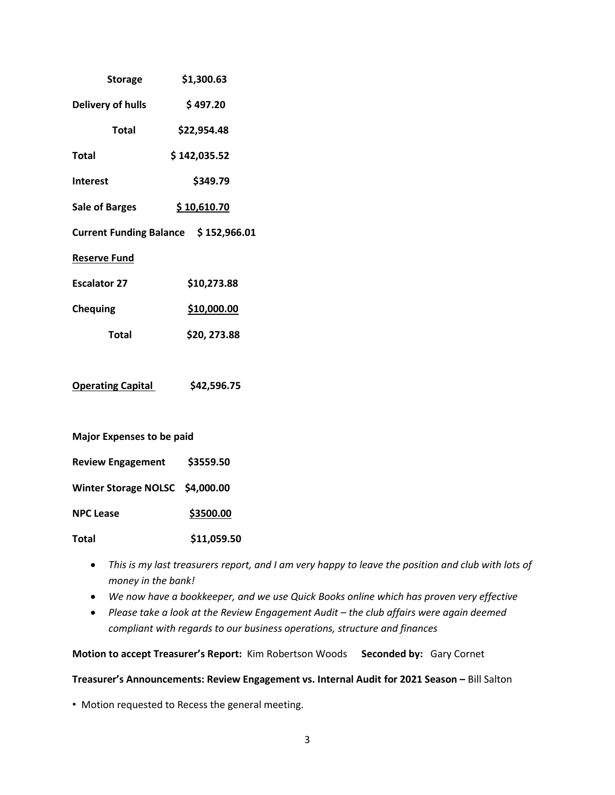| <b>Storage</b>                       | \$1,300.63   |  |  |  |
|--------------------------------------|--------------|--|--|--|
| <b>Delivery of hulls</b>             | \$497.20     |  |  |  |
| <b>Total</b>                         | \$22,954.48  |  |  |  |
| Total                                | \$142,035.52 |  |  |  |
| <b>Interest</b>                      | \$349.79     |  |  |  |
| <b>Sale of Barges</b>                | \$10,610.70  |  |  |  |
| Current Funding Balance \$152,966.01 |              |  |  |  |
| <b>Reserve Fund</b>                  |              |  |  |  |
| <b>Escalator 27</b>                  | \$10,273.88  |  |  |  |
| <b>Chequing</b>                      | \$10,000.00  |  |  |  |
| Total                                | \$20, 273.88 |  |  |  |
|                                      |              |  |  |  |
| <b>Operating Capital</b>             | \$42,596.75  |  |  |  |
|                                      |              |  |  |  |
| <b>Major Expenses to be paid</b>     |              |  |  |  |
| <b>Review Engagement</b>             | \$3559.50    |  |  |  |

**Winter Storage NOLSC \$4,000.00**

**NPC Lease** \$3500.00

**Total \$11,059.50**

- *This is my last treasurers report, and I am very happy to leave the position and club with lots of money in the bank!*
- *We now have a bookkeeper, and we use Quick Books online which has proven very effective*
- Please take a look at the Review Engagement Audit the club affairs were again deemed *compliant with regards to our business operations, structure and finances*

**Motion to accept Treasurer's Report:** Kim Robertson Woods **Seconded by:** Gary Cornet

**Treasurer's Announcements: Review Engagement vs. Internal Audit for 2021 Season –** Bill Salton

• Motion requested to Recess the general meeting.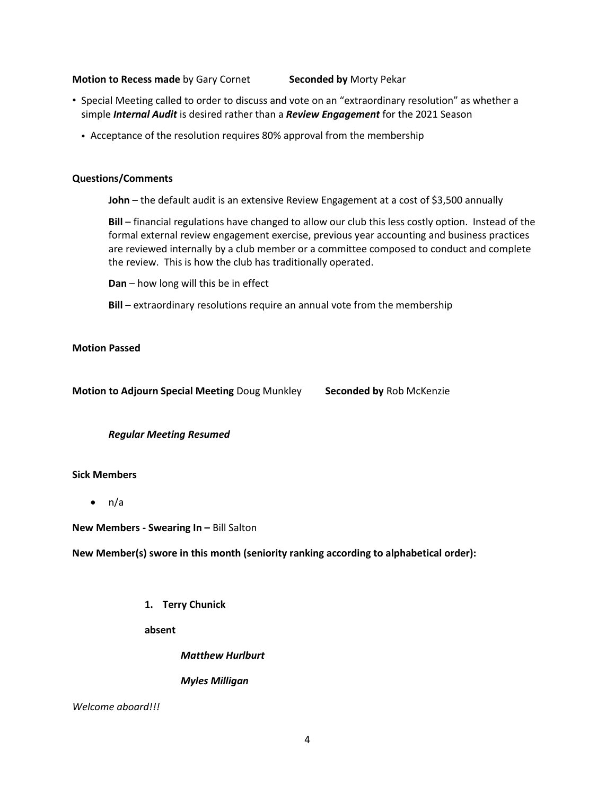#### **Motion to Recess made** by Gary Cornet **Seconded by** Morty Pekar

- Special Meeting called to order to discuss and vote on an "extraordinary resolution" as whether a simple *Internal Audit* is desired rather than a *Review Engagement* for the 2021 Season
	- Acceptance of the resolution requires 80% approval from the membership

#### **Questions/Comments**

**John** – the default audit is an extensive Review Engagement at a cost of \$3,500 annually

**Bill** – financial regulations have changed to allow our club this less costly option. Instead of the formal external review engagement exercise, previous year accounting and business practices are reviewed internally by a club member or a committee composed to conduct and complete the review. This is how the club has traditionally operated.

**Dan** – how long will this be in effect

**Bill** – extraordinary resolutions require an annual vote from the membership

#### **Motion Passed**

**Motion to Adjourn Special Meeting** Doug Munkley **Seconded by** Rob McKenzie

*Regular Meeting Resumed*

#### **Sick Members**

 $\bullet$  n/a

**New Members - Swearing In –** Bill Salton

**New Member(s) swore in this month (seniority ranking according to alphabetical order):** 

**1. Terry Chunick**

**absent**

*Matthew Hurlburt*

*Myles Milligan*

*Welcome aboard!!!*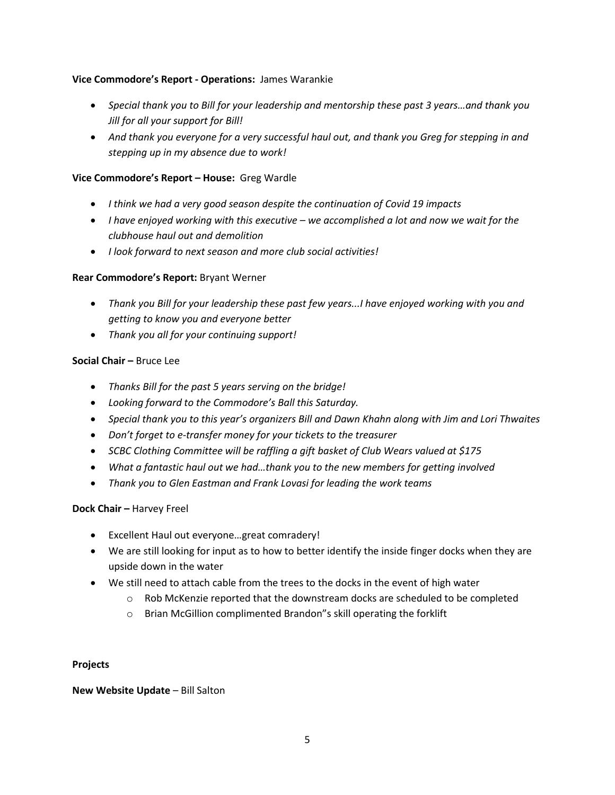## **Vice Commodore's Report - Operations:** James Warankie

- *Special thank you to Bill for your leadership and mentorship these past 3 years…and thank you Jill for all your support for Bill!*
- *And thank you everyone for a very successful haul out, and thank you Greg for stepping in and stepping up in my absence due to work!*

## **Vice Commodore's Report – House:** Greg Wardle

- *I think we had a very good season despite the continuation of Covid 19 impacts*
- *I have enjoyed working with this executive – we accomplished a lot and now we wait for the clubhouse haul out and demolition*
- *I look forward to next season and more club social activities!*

## **Rear Commodore's Report:** Bryant Werner

- *Thank you Bill for your leadership these past few years...I have enjoyed working with you and getting to know you and everyone better*
- *Thank you all for your continuing support!*

## **Social Chair –** Bruce Lee

- *Thanks Bill for the past 5 years serving on the bridge!*
- *Looking forward to the Commodore's Ball this Saturday.*
- *Special thank you to this year's organizers Bill and Dawn Khahn along with Jim and Lori Thwaites*
- *Don't forget to e-transfer money for your tickets to the treasurer*
- *SCBC Clothing Committee will be raffling a gift basket of Club Wears valued at \$175*
- *What a fantastic haul out we had…thank you to the new members for getting involved*
- *Thank you to Glen Eastman and Frank Lovasi for leading the work teams*

## **Dock Chair –** Harvey Freel

- Excellent Haul out everyone…great comradery!
- We are still looking for input as to how to better identify the inside finger docks when they are upside down in the water
- We still need to attach cable from the trees to the docks in the event of high water
	- $\circ$  Rob McKenzie reported that the downstream docks are scheduled to be completed
	- o Brian McGillion complimented Brandon"s skill operating the forklift

## **Projects**

## **New Website Update** – Bill Salton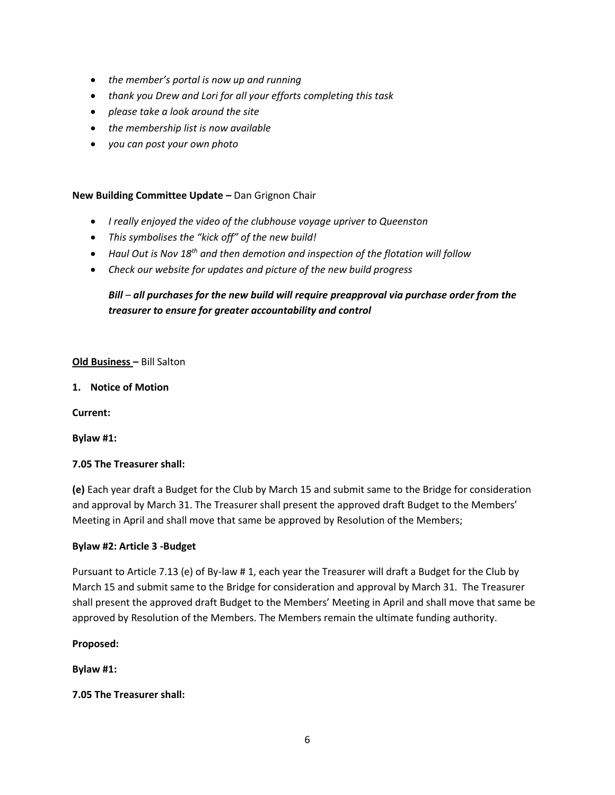- *the member's portal is now up and running*
- *thank you Drew and Lori for all your efforts completing this task*
- *please take a look around the site*
- *the membership list is now available*
- *you can post your own photo*

## **New Building Committee Update –** Dan Grignon Chair

- *I really enjoyed the video of the clubhouse voyage upriver to Queenston*
- *This symbolises the "kick off" of the new build!*
- *Haul Out is Nov 18th and then demotion and inspection of the flotation will follow*
- *Check our website for updates and picture of the new build progress*

## *Bill – all purchases for the new build will require preapproval via purchase order from the treasurer to ensure for greater accountability and control*

## **Old Business –** Bill Salton

**1. Notice of Motion**

**Current:**

**Bylaw #1:**

## **7.05 The Treasurer shall:**

**(e)** Each year draft a Budget for the Club by March 15 and submit same to the Bridge for consideration and approval by March 31. The Treasurer shall present the approved draft Budget to the Members' Meeting in April and shall move that same be approved by Resolution of the Members;

## **Bylaw #2: Article 3 -Budget**

Pursuant to Article 7.13 (e) of By-law # 1, each year the Treasurer will draft a Budget for the Club by March 15 and submit same to the Bridge for consideration and approval by March 31. The Treasurer shall present the approved draft Budget to the Members' Meeting in April and shall move that same be approved by Resolution of the Members. The Members remain the ultimate funding authority.

## **Proposed:**

**Bylaw #1:**

## **7.05 The Treasurer shall:**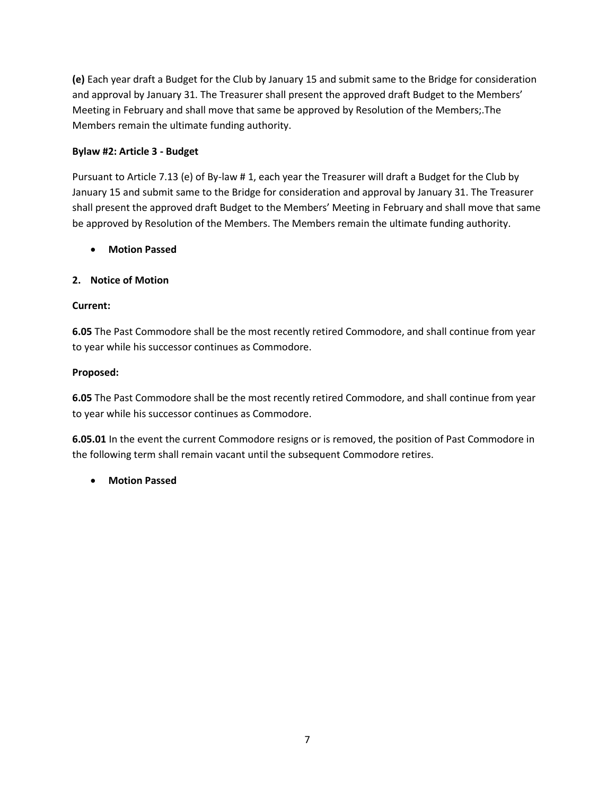**(e)** Each year draft a Budget for the Club by January 15 and submit same to the Bridge for consideration and approval by January 31. The Treasurer shall present the approved draft Budget to the Members' Meeting in February and shall move that same be approved by Resolution of the Members;.The Members remain the ultimate funding authority.

## **Bylaw #2: Article 3 - Budget**

Pursuant to Article 7.13 (e) of By-law # 1, each year the Treasurer will draft a Budget for the Club by January 15 and submit same to the Bridge for consideration and approval by January 31. The Treasurer shall present the approved draft Budget to the Members' Meeting in February and shall move that same be approved by Resolution of the Members. The Members remain the ultimate funding authority.

• **Motion Passed**

## **2. Notice of Motion**

## **Current:**

**6.05** The Past Commodore shall be the most recently retired Commodore, and shall continue from year to year while his successor continues as Commodore.

## **Proposed:**

**6.05** The Past Commodore shall be the most recently retired Commodore, and shall continue from year to year while his successor continues as Commodore.

**6.05.01** In the event the current Commodore resigns or is removed, the position of Past Commodore in the following term shall remain vacant until the subsequent Commodore retires.

• **Motion Passed**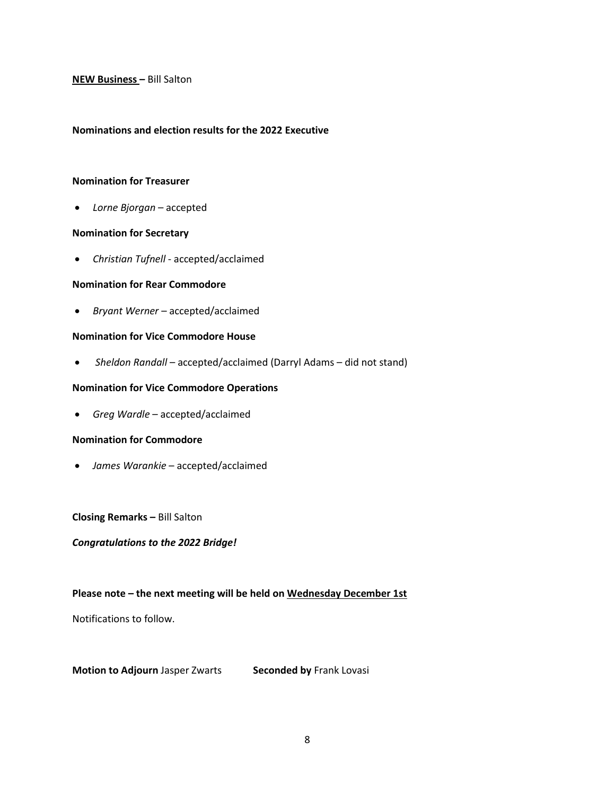#### **NEW Business –** Bill Salton

#### **Nominations and election results for the 2022 Executive**

#### **Nomination for Treasurer**

• *Lorne Bjorgan* – accepted

#### **Nomination for Secretary**

• *Christian Tufnell* - accepted/acclaimed

#### **Nomination for Rear Commodore**

• *Bryant Werner* – accepted/acclaimed

#### **Nomination for Vice Commodore House**

• Sheldon Randall – accepted/acclaimed (Darryl Adams – did not stand)

#### **Nomination for Vice Commodore Operations**

• *Greg Wardle* – accepted/acclaimed

#### **Nomination for Commodore**

• *James Warankie* – accepted/acclaimed

**Closing Remarks –** Bill Salton

#### *Congratulations to the 2022 Bridge!*

#### **Please note – the next meeting will be held on Wednesday December 1st**

Notifications to follow.

**Motion to Adjourn Jasper Zwarts Seconded by Frank Lovasi**